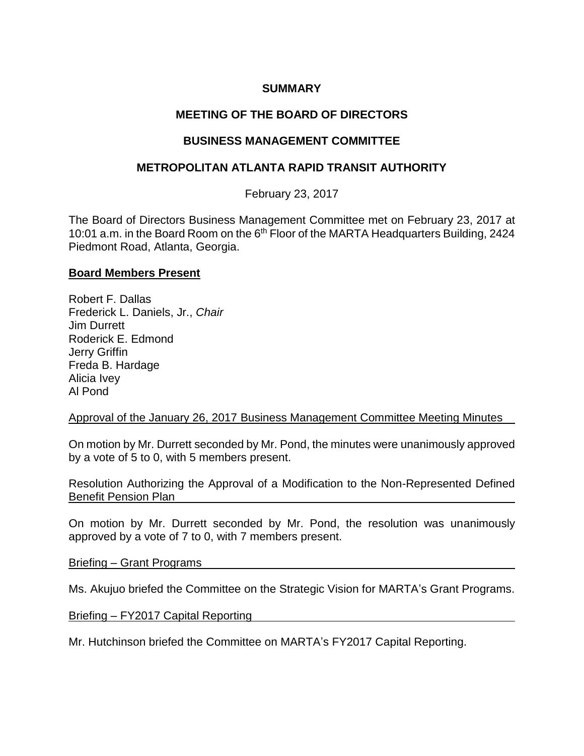## **SUMMARY**

# **MEETING OF THE BOARD OF DIRECTORS**

## **BUSINESS MANAGEMENT COMMITTEE**

## **METROPOLITAN ATLANTA RAPID TRANSIT AUTHORITY**

February 23, 2017

The Board of Directors Business Management Committee met on February 23, 2017 at 10:01 a.m. in the Board Room on the 6<sup>th</sup> Floor of the MARTA Headquarters Building, 2424 Piedmont Road, Atlanta, Georgia.

#### **Board Members Present**

Robert F. Dallas Frederick L. Daniels, Jr., *Chair* Jim Durrett Roderick E. Edmond Jerry Griffin Freda B. Hardage Alicia Ivey Al Pond

Approval of the January 26, 2017 Business Management Committee Meeting Minutes

On motion by Mr. Durrett seconded by Mr. Pond, the minutes were unanimously approved by a vote of 5 to 0, with 5 members present.

Resolution Authorizing the Approval of a Modification to the Non-Represented Defined Benefit Pension Plan

On motion by Mr. Durrett seconded by Mr. Pond, the resolution was unanimously approved by a vote of 7 to 0, with 7 members present.

Briefing – Grant Programs

Ms. Akujuo briefed the Committee on the Strategic Vision for MARTA's Grant Programs.

Briefing – FY2017 Capital Reporting

Mr. Hutchinson briefed the Committee on MARTA's FY2017 Capital Reporting.